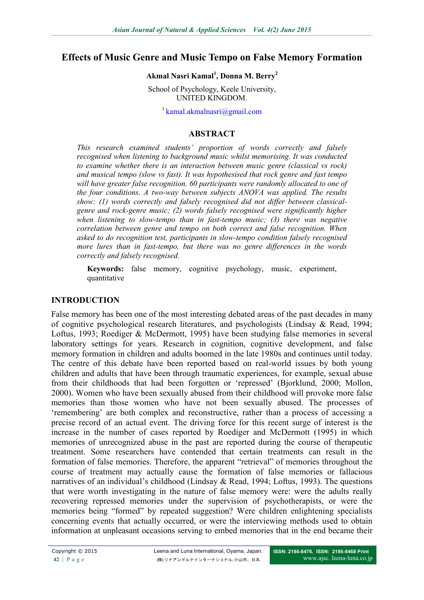## **Effects of Music Genre and Music Tempo on False Memory Formation**

#### **Akmal Nasri Kamal<sup>1</sup> , Donna M. Berry<sup>2</sup>**

School of Psychology, Keele University, UNITED KINGDOM.

 $1$  kamal.akmalnasri $\omega$ gmail.com

#### **ABSTRACT**

*This research examined students' proportion of words correctly and falsely recognised when listening to background music whilst memorising. It was conducted to examine whether there is an interaction between music genre (classical vs rock) and musical tempo (slow vs fast). It was hypothesised that rock genre and fast tempo will have greater false recognition. 60 participants were randomly allocated to one of the four conditions. A two-way between subjects ANOVA was applied. The results show: (1) words correctly and falsely recognised did not differ between classicalgenre and rock-genre music; (2) words falsely recognised were significantly higher when listening to slow-tempo than in fast-tempo music; (3) there was negative correlation between genre and tempo on both correct and false recognition. When asked to do recognition test, participants in slow-tempo condition falsely recognised more lures than in fast-tempo, but there was no genre differences in the words correctly and falsely recognised.*

**Keywords:** false memory, cognitive psychology, music, experiment, quantitative

#### **INTRODUCTION**

False memory has been one of the most interesting debated areas of the past decades in many of cognitive psychological research literatures, and psychologists (Lindsay & Read, 1994; Loftus, 1993; Roediger & McDermott, 1995) have been studying false memories in several laboratory settings for years. Research in cognition, cognitive development, and false memory formation in children and adults boomed in the late 1980s and continues until today. The centre of this debate have been reported based on real-world issues by both young children and adults that have been through traumatic experiences, for example, sexual abuse from their childhoods that had been forgotten or 'repressed' (Bjorklund, 2000; Mollon, 2000). Women who have been sexually abused from their childhood will provoke more false memories than those women who have not been sexually abused. The processes of 'remembering' are both complex and reconstructive, rather than a process of accessing a precise record of an actual event. The driving force for this recent surge of interest is the increase in the number of cases reported by Roediger and McDermott (1995) in which memories of unrecognized abuse in the past are reported during the course of therapeutic treatment. Some researchers have contended that certain treatments can result in the formation of false memories. Therefore, the apparent "retrieval" of memories throughout the course of treatment may actually cause the formation of false memories or fallacious narratives of an individual's childhood (Lindsay & Read, 1994; Loftus, 1993). The questions that were worth investigating in the nature of false memory were: were the adults really recovering repressed memories under the supervision of psychotherapists, or were the memories being "formed" by repeated suggestion? Were children enlightening specialists concerning events that actually occurred, or were the interviewing methods used to obtain information at unpleasant occasions serving to embed memories that in the end became their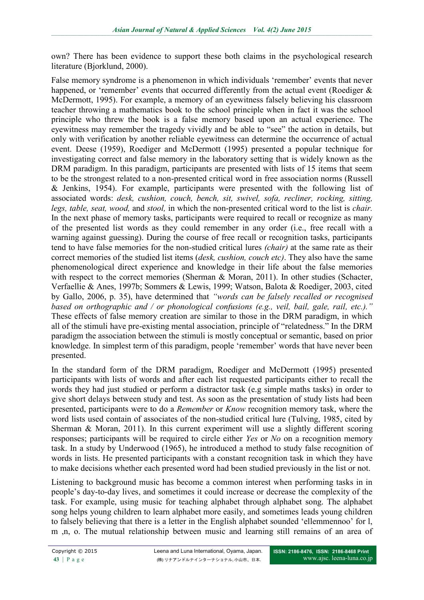own? There has been evidence to support these both claims in the psychological research literature (Bjorklund, 2000).

False memory syndrome is a phenomenon in which individuals 'remember' events that never happened, or 'remember' events that occurred differently from the actual event (Roediger & McDermott, 1995). For example, a memory of an eyewitness falsely believing his classroom teacher throwing a mathematics book to the school principle when in fact it was the school principle who threw the book is a false memory based upon an actual experience. The eyewitness may remember the tragedy vividly and be able to "see" the action in details, but only with verification by another reliable eyewitness can determine the occurrence of actual event. Deese (1959), Roediger and McDermott (1995) presented a popular technique for investigating correct and false memory in the laboratory setting that is widely known as the DRM paradigm. In this paradigm, participants are presented with lists of 15 items that seem to be the strongest related to a non-presented critical word in free association norms (Russell & Jenkins, 1954). For example, participants were presented with the following list of associated words: *desk, cushion, couch, bench, sit, swivel, sofa, recliner, rocking, sitting, legs, table, seat, wood,* and *stool,* in which the non-presented critical word to the list is *chair.* In the next phase of memory tasks, participants were required to recall or recognize as many of the presented list words as they could remember in any order (i.e., free recall with a warning against guessing). During the course of free recall or recognition tasks, participants tend to have false memories for the non-studied critical lures *(chair)* at the same rate as their correct memories of the studied list items (*desk, cushion, couch etc)*. They also have the same phenomenological direct experience and knowledge in their life about the false memories with respect to the correct memories (Sherman & Moran, 2011). In other studies (Schacter, Verfaellie & Anes, 1997b; Sommers & Lewis, 1999; Watson, Balota & Roediger, 2003, cited by Gallo, 2006, p. 35), have determined that *"words can be falsely recalled or recognised based on orthographic and / or phonological confusions (e.g., veil, bail, gale, rail, etc.)."* These effects of false memory creation are similar to those in the DRM paradigm, in which all of the stimuli have pre-existing mental association, principle of "relatedness." In the DRM paradigm the association between the stimuli is mostly conceptual or semantic, based on prior knowledge. In simplest term of this paradigm, people 'remember' words that have never been presented.

In the standard form of the DRM paradigm, Roediger and McDermott (1995) presented participants with lists of words and after each list requested participants either to recall the words they had just studied or perform a distractor task (e.g simple maths tasks) in order to give short delays between study and test. As soon as the presentation of study lists had been presented, participants were to do a *Remember* or *Know* recognition memory task, where the word lists used contain of associates of the non-studied critical lure (Tulving, 1985, cited by Sherman & Moran, 2011). In this current experiment will use a slightly different scoring responses; participants will be required to circle either *Yes* or *No* on a recognition memory task. In a study by Underwood (1965), he introduced a method to study false recognition of words in lists. He presented participants with a constant recognition task in which they have to make decisions whether each presented word had been studied previously in the list or not.

Listening to background music has become a common interest when performing tasks in in people's day-to-day lives, and sometimes it could increase or decrease the complexity of the task. For example, using music for teaching alphabet through alphabet song. The alphabet song helps young children to learn alphabet more easily, and sometimes leads young children to falsely believing that there is a letter in the English alphabet sounded 'ellemmennoo' for l, m ,n, o. The mutual relationship between music and learning still remains of an area of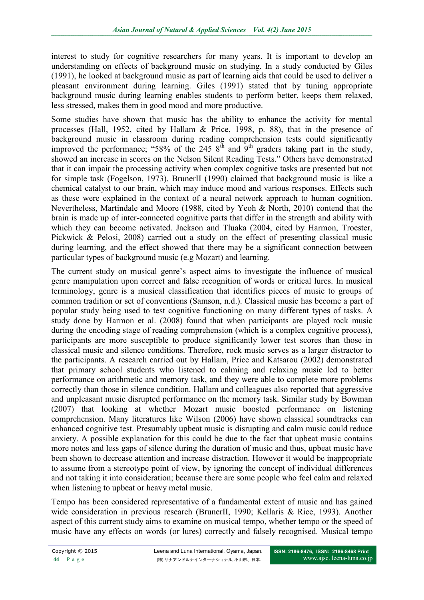interest to study for cognitive researchers for many years. It is important to develop an understanding on effects of background music on studying. In a study conducted by Giles (1991), he looked at background music as part of learning aids that could be used to deliver a pleasant environment during learning. Giles (1991) stated that by tuning appropriate background music during learning enables students to perform better, keeps them relaxed, less stressed, makes them in good mood and more productive.

Some studies have shown that music has the ability to enhance the activity for mental processes (Hall, 1952, cited by Hallam & Price, 1998, p. 88), that in the presence of background music in classroom during reading comprehension tests could significantly improved the performance; "58% of the 245  $8<sup>th</sup>$  and  $9<sup>th</sup>$  graders taking part in the study, showed an increase in scores on the Nelson Silent Reading Tests." Others have demonstrated that it can impair the processing activity when complex cognitive tasks are presented but not for simple task (Fogelson, 1973). BrunerII (1990) claimed that background music is like a chemical catalyst to our brain, which may induce mood and various responses. Effects such as these were explained in the context of a neural network approach to human cognition. Nevertheless, Martindale and Moore (1988, cited by Yeoh & North, 2010) contend that the brain is made up of inter-connected cognitive parts that differ in the strength and ability with which they can become activated. Jackson and Tluaka (2004, cited by Harmon, Troester, Pickwick & Pelosi, 2008) carried out a study on the effect of presenting classical music during learning, and the effect showed that there may be a significant connection between particular types of background music (e.g Mozart) and learning.

The current study on musical genre's aspect aims to investigate the influence of musical genre manipulation upon correct and false recognition of words or critical lures. In musical terminology, genre is a musical classification that identifies pieces of music to groups of common tradition or set of conventions (Samson, n.d.). Classical music has become a part of popular study being used to test cognitive functioning on many different types of tasks. A study done by Harmon et al. (2008) found that when participants are played rock music during the encoding stage of reading comprehension (which is a complex cognitive process), participants are more susceptible to produce significantly lower test scores than those in classical music and silence conditions. Therefore, rock music serves as a larger distractor to the participants. A research carried out by Hallam, Price and Katsarou (2002) demonstrated that primary school students who listened to calming and relaxing music led to better performance on arithmetic and memory task, and they were able to complete more problems correctly than those in silence condition. Hallam and colleagues also reported that aggressive and unpleasant music disrupted performance on the memory task. Similar study by Bowman (2007) that looking at whether Mozart music boosted performance on listening comprehension. Many literatures like Wilson (2006) have shown classical soundtracks can enhanced cognitive test. Presumably upbeat music is disrupting and calm music could reduce anxiety. A possible explanation for this could be due to the fact that upbeat music contains more notes and less gaps of silence during the duration of music and thus, upbeat music have been shown to decrease attention and increase distraction. However it would be inappropriate to assume from a stereotype point of view, by ignoring the concept of individual differences and not taking it into consideration; because there are some people who feel calm and relaxed when listening to upbeat or heavy metal music.

Tempo has been considered representative of a fundamental extent of music and has gained wide consideration in previous research (BrunerII, 1990; Kellaris & Rice, 1993). Another aspect of this current study aims to examine on musical tempo, whether tempo or the speed of music have any effects on words (or lures) correctly and falsely recognised. Musical tempo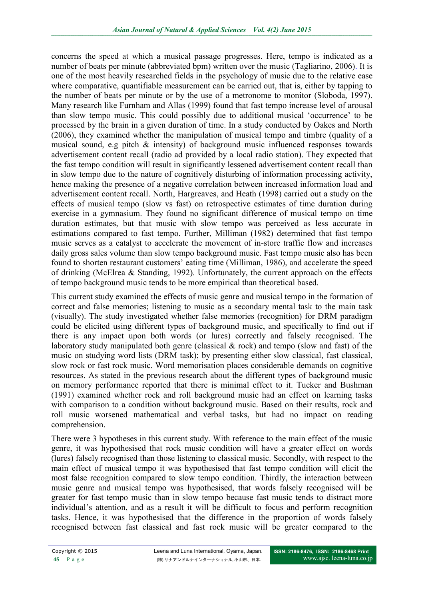concerns the speed at which a musical passage progresses. Here, tempo is indicated as a number of beats per minute (abbreviated bpm) written over the music (Tagliarino, 2006). It is one of the most heavily researched fields in the psychology of music due to the relative ease where comparative, quantifiable measurement can be carried out, that is, either by tapping to the number of beats per minute or by the use of a metronome to monitor (Sloboda, 1997). Many research like Furnham and Allas (1999) found that fast tempo increase level of arousal than slow tempo music. This could possibly due to additional musical 'occurrence' to be processed by the brain in a given duration of time. In a study conducted by Oakes and North (2006), they examined whether the manipulation of musical tempo and timbre (quality of a musical sound, e.g pitch & intensity) of background music influenced responses towards advertisement content recall (radio ad provided by a local radio station). They expected that the fast tempo condition will result in significantly lessened advertisement content recall than in slow tempo due to the nature of cognitively disturbing of information processing activity, hence making the presence of a negative correlation between increased information load and advertisement content recall. North, Hargreaves, and Heath (1998) carried out a study on the effects of musical tempo (slow vs fast) on retrospective estimates of time duration during exercise in a gymnasium. They found no significant difference of musical tempo on time duration estimates, but that music with slow tempo was perceived as less accurate in estimations compared to fast tempo. Further, Milliman (1982) determined that fast tempo music serves as a catalyst to accelerate the movement of in-store traffic flow and increases daily gross sales volume than slow tempo background music. Fast tempo music also has been found to shorten restaurant customers' eating time (Milliman, 1986), and accelerate the speed of drinking (McElrea & Standing, 1992). Unfortunately, the current approach on the effects of tempo background music tends to be more empirical than theoretical based.

This current study examined the effects of music genre and musical tempo in the formation of correct and false memories; listening to music as a secondary mental task to the main task (visually). The study investigated whether false memories (recognition) for DRM paradigm could be elicited using different types of background music, and specifically to find out if there is any impact upon both words (or lures) correctly and falsely recognised. The laboratory study manipulated both genre (classical & rock) and tempo (slow and fast) of the music on studying word lists (DRM task); by presenting either slow classical, fast classical, slow rock or fast rock music. Word memorisation places considerable demands on cognitive resources. As stated in the previous research about the different types of background music on memory performance reported that there is minimal effect to it. Tucker and Bushman (1991) examined whether rock and roll background music had an effect on learning tasks with comparison to a condition without background music. Based on their results, rock and roll music worsened mathematical and verbal tasks, but had no impact on reading comprehension.

There were 3 hypotheses in this current study. With reference to the main effect of the music genre, it was hypothesised that rock music condition will have a greater effect on words (lures) falsely recognised than those listening to classical music. Secondly, with respect to the main effect of musical tempo it was hypothesised that fast tempo condition will elicit the most false recognition compared to slow tempo condition. Thirdly, the interaction between music genre and musical tempo was hypothesised, that words falsely recognised will be greater for fast tempo music than in slow tempo because fast music tends to distract more individual's attention, and as a result it will be difficult to focus and perform recognition tasks. Hence, it was hypothesised that the difference in the proportion of words falsely recognised between fast classical and fast rock music will be greater compared to the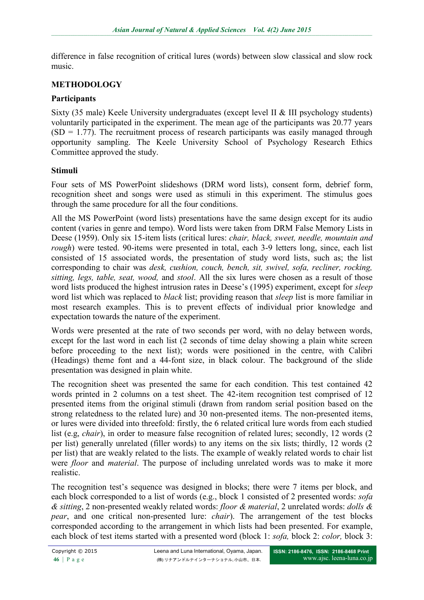difference in false recognition of critical lures (words) between slow classical and slow rock music.

### **METHODOLOGY**

### **Participants**

Sixty (35 male) Keele University undergraduates (except level II & III psychology students) voluntarily participated in the experiment. The mean age of the participants was 20.77 years  $(SD = 1.77)$ . The recruitment process of research participants was easily managed through opportunity sampling. The Keele University School of Psychology Research Ethics Committee approved the study.

### **Stimuli**

Four sets of MS PowerPoint slideshows (DRM word lists), consent form, debrief form, recognition sheet and songs were used as stimuli in this experiment. The stimulus goes through the same procedure for all the four conditions.

All the MS PowerPoint (word lists) presentations have the same design except for its audio content (varies in genre and tempo). Word lists were taken from DRM False Memory Lists in Deese (1959). Only six 15-item lists (critical lures: *chair, black, sweet, needle, mountain and rough*) were tested. 90-items were presented in total, each 3-9 letters long, since, each list consisted of 15 associated words, the presentation of study word lists, such as; the list corresponding to chair was *desk, cushion, couch, bench, sit, swivel, sofa, recliner, rocking, sitting, legs, table, seat, wood,* and *stool*. All the six lures were chosen as a result of those word lists produced the highest intrusion rates in Deese's (1995) experiment, except for *sleep* word list which was replaced to *black* list; providing reason that *sleep* list is more familiar in most research examples. This is to prevent effects of individual prior knowledge and expectation towards the nature of the experiment.

Words were presented at the rate of two seconds per word, with no delay between words, except for the last word in each list (2 seconds of time delay showing a plain white screen before proceeding to the next list); words were positioned in the centre, with Calibri (Headings) theme font and a 44-font size, in black colour. The background of the slide presentation was designed in plain white.

The recognition sheet was presented the same for each condition. This test contained 42 words printed in 2 columns on a test sheet. The 42-item recognition test comprised of 12 presented items from the original stimuli (drawn from random serial position based on the strong relatedness to the related lure) and 30 non-presented items. The non-presented items, or lures were divided into threefold: firstly, the 6 related critical lure words from each studied list (e.g. *chair*), in order to measure false recognition of related lures; secondly, 12 words (2) per list) generally unrelated (filler words) to any items on the six lists; thirdly, 12 words (2 per list) that are weakly related to the lists. The example of weakly related words to chair list were *floor* and *material*. The purpose of including unrelated words was to make it more realistic.

The recognition test's sequence was designed in blocks; there were 7 items per block, and each block corresponded to a list of words (e.g., block 1 consisted of 2 presented words: *sofa & sitting*, 2 non-presented weakly related words: *floor & material*, 2 unrelated words: *dolls & pear*, and one critical non-presented lure: *chair*). The arrangement of the test blocks corresponded according to the arrangement in which lists had been presented. For example, each block of test items started with a presented word (block 1: *sofa,* block 2: *color,* block 3: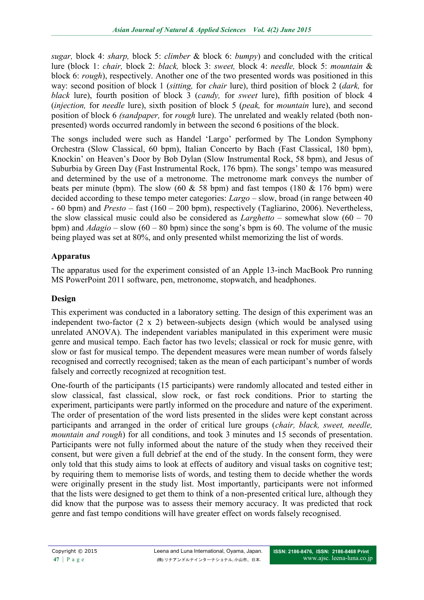*sugar,* block 4: *sharp,* block 5: *climber* & block 6: *bumpy*) and concluded with the critical lure (block 1: *chair,* block 2: *black,* block 3: *sweet,* block 4: *needle,* block 5: *mountain* & block 6: *rough*), respectively. Another one of the two presented words was positioned in this way: second position of block 1 (*sitting,* for *chair* lure), third position of block 2 (*dark,* for *black* lure), fourth position of block 3 (*candy,* for *sweet* lure), fifth position of block 4 (*injection,* for *needle* lure), sixth position of block 5 (*peak,* for *mountain* lure), and second position of block 6 *(sandpaper,* for *rough* lure). The unrelated and weakly related (both nonpresented) words occurred randomly in between the second 6 positions of the block.

The songs included were such as Handel 'Largo' performed by The London Symphony Orchestra (Slow Classical, 60 bpm), Italian Concerto by Bach (Fast Classical, 180 bpm), Knockin' on Heaven's Door by Bob Dylan (Slow Instrumental Rock, 58 bpm), and Jesus of Suburbia by Green Day (Fast Instrumental Rock, 176 bpm). The songs' tempo was measured and determined by the use of a metronome. The metronome mark conveys the number of beats per minute (bpm). The slow (60  $\&$  58 bpm) and fast tempos (180  $\&$  176 bpm) were decided according to these tempo meter categories: *Largo* – slow, broad (in range between 40 - 60 bpm) and *Presto* – fast (160 – 200 bpm), respectively (Tagliarino, 2006). Nevertheless, the slow classical music could also be considered as *Larghetto* – somewhat slow (60 – 70 bpm) and *Adagio* – slow (60 – 80 bpm) since the song's bpm is 60. The volume of the music being played was set at 80%, and only presented whilst memorizing the list of words.

## **Apparatus**

The apparatus used for the experiment consisted of an Apple 13-inch MacBook Pro running MS PowerPoint 2011 software, pen, metronome, stopwatch, and headphones.

# **Design**

This experiment was conducted in a laboratory setting. The design of this experiment was an independent two-factor (2 x 2) between-subjects design (which would be analysed using unrelated ANOVA). The independent variables manipulated in this experiment were music genre and musical tempo. Each factor has two levels; classical or rock for music genre, with slow or fast for musical tempo. The dependent measures were mean number of words falsely recognised and correctly recognised; taken as the mean of each participant's number of words falsely and correctly recognized at recognition test.

One-fourth of the participants (15 participants) were randomly allocated and tested either in slow classical, fast classical, slow rock, or fast rock conditions. Prior to starting the experiment, participants were partly informed on the procedure and nature of the experiment. The order of presentation of the word lists presented in the slides were kept constant across participants and arranged in the order of critical lure groups (*chair, black, sweet, needle, mountain and rough*) for all conditions, and took 3 minutes and 15 seconds of presentation. Participants were not fully informed about the nature of the study when they received their consent, but were given a full debrief at the end of the study. In the consent form, they were only told that this study aims to look at effects of auditory and visual tasks on cognitive test; by requiring them to memorise lists of words, and testing them to decide whether the words were originally present in the study list. Most importantly, participants were not informed that the lists were designed to get them to think of a non-presented critical lure, although they did know that the purpose was to assess their memory accuracy. It was predicted that rock genre and fast tempo conditions will have greater effect on words falsely recognised.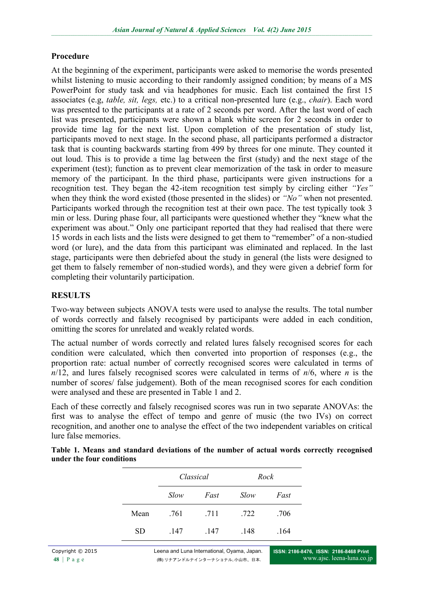### **Procedure**

At the beginning of the experiment, participants were asked to memorise the words presented whilst listening to music according to their randomly assigned condition; by means of a MS PowerPoint for study task and via headphones for music. Each list contained the first 15 associates (e.g, *table, sit, legs,* etc.) to a critical non-presented lure (e.g., *chair*). Each word was presented to the participants at a rate of 2 seconds per word. After the last word of each list was presented, participants were shown a blank white screen for 2 seconds in order to provide time lag for the next list. Upon completion of the presentation of study list, participants moved to next stage. In the second phase, all participants performed a distractor task that is counting backwards starting from 499 by threes for one minute. They counted it out loud. This is to provide a time lag between the first (study) and the next stage of the experiment (test); function as to prevent clear memorization of the task in order to measure memory of the participant. In the third phase, participants were given instructions for a recognition test. They began the 42-item recognition test simply by circling either *"Yes"*  when they think the word existed (those presented in the slides) or *"No"* when not presented. Participants worked through the recognition test at their own pace. The test typically took 3 min or less. During phase four, all participants were questioned whether they "knew what the experiment was about." Only one participant reported that they had realised that there were 15 words in each lists and the lists were designed to get them to "remember" of a non-studied word (or lure), and the data from this participant was eliminated and replaced. In the last stage, participants were then debriefed about the study in general (the lists were designed to get them to falsely remember of non-studied words), and they were given a debrief form for completing their voluntarily participation.

### **RESULTS**

Two-way between subjects ANOVA tests were used to analyse the results. The total number of words correctly and falsely recognised by participants were added in each condition, omitting the scores for unrelated and weakly related words.

The actual number of words correctly and related lures falsely recognised scores for each condition were calculated, which then converted into proportion of responses (e.g., the proportion rate: actual number of correctly recognised scores were calculated in terms of *n*/12, and lures falsely recognised scores were calculated in terms of *n*/6, where *n* is the number of scores/ false judgement). Both of the mean recognised scores for each condition were analysed and these are presented in Table 1 and 2.

Each of these correctly and falsely recognised scores was run in two separate ANOVAs: the first was to analyse the effect of tempo and genre of music (the two IVs) on correct recognition, and another one to analyse the effect of the two independent variables on critical lure false memories.

|           | Classical |      | Rock |      |  |
|-----------|-----------|------|------|------|--|
|           | Slow      | Fast | Slow | Fast |  |
| Mean      | .761      | .711 | .722 | .706 |  |
| <b>SD</b> | 147       | 147  | .148 | .164 |  |

| Table 1. Means and standard deviations of the number of actual words correctly recognised |  |  |  |  |
|-------------------------------------------------------------------------------------------|--|--|--|--|
| under the four conditions                                                                 |  |  |  |  |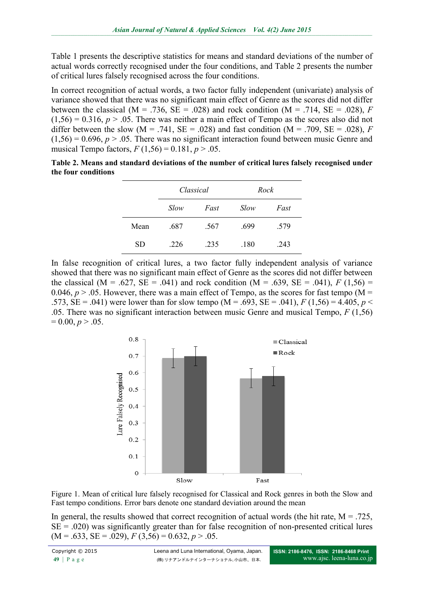Table 1 presents the descriptive statistics for means and standard deviations of the number of actual words correctly recognised under the four conditions, and Table 2 presents the number of critical lures falsely recognised across the four conditions.

In correct recognition of actual words, a two factor fully independent (univariate) analysis of variance showed that there was no significant main effect of Genre as the scores did not differ between the classical ( $M = .736$ ,  $SE = .028$ ) and rock condition ( $M = .714$ ,  $SE = .028$ ), *F*  $(1,56) = 0.316$ ,  $p > 0.05$ . There was neither a main effect of Tempo as the scores also did not differ between the slow ( $M = .741$ ,  $SE = .028$ ) and fast condition ( $M = .709$ ,  $SE = .028$ ), *F*  $(1,56) = 0.696$ ,  $p > 0.05$ . There was no significant interaction found between music Genre and musical Tempo factors,  $F(1,56) = 0.181$ ,  $p > .05$ .

| Table 2. Means and standard deviations of the number of critical lures falsely recognised under |  |
|-------------------------------------------------------------------------------------------------|--|
| the four conditions                                                                             |  |

|           | Classical |      | Rock |      |  |
|-----------|-----------|------|------|------|--|
|           | Slow      | Fast | Slow | Fast |  |
| Mean      | .687      | .567 | .699 | .579 |  |
| <b>SD</b> | .226      | .235 | .180 | 243  |  |

In false recognition of critical lures, a two factor fully independent analysis of variance showed that there was no significant main effect of Genre as the scores did not differ between the classical (M = .627, SE = .041) and rock condition (M = .639, SE = .041),  $F(1,56)$  = 0.046,  $p > 0.05$ . However, there was a main effect of Tempo, as the scores for fast tempo (M = .573,  $SE = .041$ ) were lower than for slow tempo (M = .693,  $SE = .041$ ),  $F(1,56) = 4.405$ ,  $p <$ .05. There was no significant interaction between music Genre and musical Tempo, *F* (1,56)  $= 0.00, p > 0.05.$ 



Figure 1. Mean of critical lure falsely recognised for Classical and Rock genres in both the Slow and Fast tempo conditions. Error bars denote one standard deviation around the mean

In general, the results showed that correct recognition of actual words (the hit rate,  $M = .725$ ,  $SE = .020$ ) was significantly greater than for false recognition of non-presented critical lures  $(M = .633, SE = .029), F(3,56) = 0.632, p > .05.$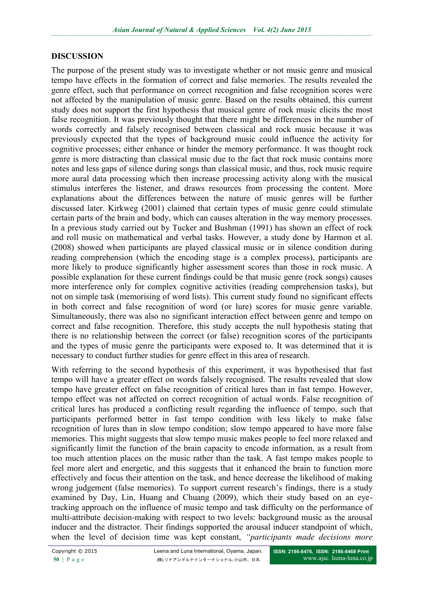#### **DISCUSSION**

The purpose of the present study was to investigate whether or not music genre and musical tempo have effects in the formation of correct and false memories. The results revealed the genre effect, such that performance on correct recognition and false recognition scores were not affected by the manipulation of music genre. Based on the results obtained, this current study does not support the first hypothesis that musical genre of rock music elicits the most false recognition. It was previously thought that there might be differences in the number of words correctly and falsely recognised between classical and rock music because it was previously expected that the types of background music could influence the activity for cognitive processes; either enhance or hinder the memory performance. It was thought rock genre is more distracting than classical music due to the fact that rock music contains more notes and less gaps of silence during songs than classical music, and thus, rock music require more aural data processing which then increase processing activity along with the musical stimulus interferes the listener, and draws resources from processing the content. More explanations about the differences between the nature of music genres will be further discussed later. Kirkweg (2001) claimed that certain types of music genre could stimulate certain parts of the brain and body, which can causes alteration in the way memory processes. In a previous study carried out by Tucker and Bushman (1991) has shown an effect of rock and roll music on mathematical and verbal tasks. However, a study done by Harmon et al. (2008) showed when participants are played classical music or in silence condition during reading comprehension (which the encoding stage is a complex process), participants are more likely to produce significantly higher assessment scores than those in rock music. A possible explanation for these current findings could be that music genre (rock songs) causes more interference only for complex cognitive activities (reading comprehension tasks), but not on simple task (memorising of word lists). This current study found no significant effects in both correct and false recognition of word (or lure) scores for music genre variable. Simultaneously, there was also no significant interaction effect between genre and tempo on correct and false recognition. Therefore, this study accepts the null hypothesis stating that there is no relationship between the correct (or false) recognition scores of the participants and the types of music genre the participants were exposed to. It was determined that it is necessary to conduct further studies for genre effect in this area of research.

With referring to the second hypothesis of this experiment, it was hypothesised that fast tempo will have a greater effect on words falsely recognised. The results revealed that slow tempo have greater effect on false recognition of critical lures than in fast tempo. However, tempo effect was not affected on correct recognition of actual words. False recognition of critical lures has produced a conflicting result regarding the influence of tempo, such that participants performed better in fast tempo condition with less likely to make false recognition of lures than in slow tempo condition; slow tempo appeared to have more false memories. This might suggests that slow tempo music makes people to feel more relaxed and significantly limit the function of the brain capacity to encode information, as a result from too much attention places on the music rather than the task. A fast tempo makes people to feel more alert and energetic, and this suggests that it enhanced the brain to function more effectively and focus their attention on the task, and hence decrease the likelihood of making wrong judgement (false memories). To support current research's findings, there is a study examined by Day, Lin, Huang and Chuang (2009), which their study based on an eyetracking approach on the influence of music tempo and task difficulty on the performance of multi-attribute decision-making with respect to two levels: background music as the arousal inducer and the distractor. Their findings supported the arousal inducer standpoint of which, when the level of decision time was kept constant, *"participants made decisions more*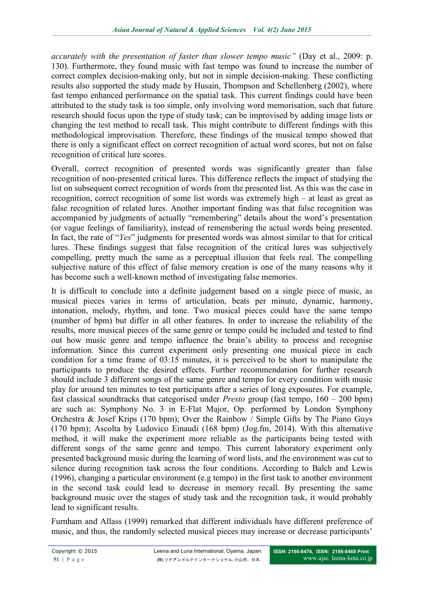*accurately with the presentation of faster than slower tempo music"* (Day et al., 2009: p. 130). Furthermore, they found music with fast tempo was found to increase the number of correct complex decision-making only, but not in simple decision-making. These conflicting results also supported the study made by Husain, Thompson and Schellenberg (2002), where fast tempo enhanced performance on the spatial task. This current findings could have been attributed to the study task is too simple, only involving word memorisation, such that future research should focus upon the type of study task; can be improvised by adding image lists or changing the test method to recall task. This might contribute to different findings with this methodological improvisation. Therefore, these findings of the musical tempo showed that there is only a significant effect on correct recognition of actual word scores, but not on false recognition of critical lure scores.

Overall, correct recognition of presented words was significantly greater than false recognition of non-presented critical lures. This difference reflects the impact of studying the list on subsequent correct recognition of words from the presented list. As this was the case in recognition, correct recognition of some list words was extremely high – at least as great as false recognition of related lures. Another important finding was that false recognition was accompanied by judgments of actually "remembering" details about the word's presentation (or vague feelings of familiarity), instead of remembering the actual words being presented. In fact, the rate of "*Yes*" judgments for presented words was almost similar to that for critical lures. These findings suggest that false recognition of the critical lures was subjectively compelling, pretty much the same as a perceptual illusion that feels real. The compelling subjective nature of this effect of false memory creation is one of the many reasons why it has become such a well-known method of investigating false memories.

It is difficult to conclude into a definite judgement based on a single piece of music, as musical pieces varies in terms of articulation, beats per minute, dynamic, harmony, intonation, melody, rhythm, and tone. Two musical pieces could have the same tempo (number of bpm) but differ in all other features. In order to increase the reliability of the results, more musical pieces of the same genre or tempo could be included and tested to find out how music genre and tempo influence the brain's ability to process and recognise information. Since this current experiment only presenting one musical piece in each condition for a time frame of 03:15 minutes, it is perceived to be short to manipulate the participants to produce the desired effects. Further recommendation for further research should include 3 different songs of the same genre and tempo for every condition with music play for around ten minutes to test participants after a series of long exposures. For example, fast classical soundtracks that categorised under *Presto* group (fast tempo, 160 – 200 bpm) are such as: Symphony No. 3 in E-Flat Major, Op. performed by London Symphony Orchestra & Josef Krips (170 bpm); Over the Rainbow / Simple Gifts by The Piano Guys (170 bpm); Ascolta by Ludovico Einaudi (168 bpm) (Jog.fm, 2014). With this alternative method, it will make the experiment more reliable as the participants being tested with different songs of the same genre and tempo. This current laboratory experiment only presented background music during the learning of word lists, and the environment was cut to silence during recognition task across the four conditions. According to Balch and Lewis (1996), changing a particular environment (e.g tempo) in the first task to another environment in the second task could lead to decrease in memory recall. By presenting the same background music over the stages of study task and the recognition task, it would probably lead to significant results.

Furnham and Allass (1999) remarked that different individuals have different preference of music, and thus, the randomly selected musical pieces may increase or decrease participants'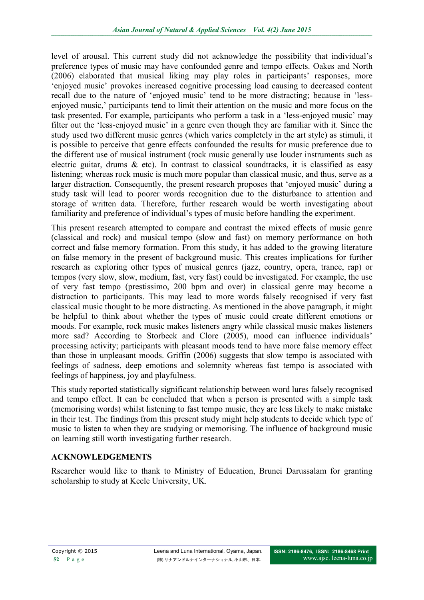level of arousal. This current study did not acknowledge the possibility that individual's preference types of music may have confounded genre and tempo effects. Oakes and North (2006) elaborated that musical liking may play roles in participants' responses, more 'enjoyed music' provokes increased cognitive processing load causing to decreased content recall due to the nature of 'enjoyed music' tend to be more distracting; because in 'lessenjoyed music,' participants tend to limit their attention on the music and more focus on the task presented. For example, participants who perform a task in a 'less-enjoyed music' may filter out the 'less-enjoyed music' in a genre even though they are familiar with it. Since the study used two different music genres (which varies completely in the art style) as stimuli, it is possible to perceive that genre effects confounded the results for music preference due to the different use of musical instrument (rock music generally use louder instruments such as electric guitar, drums  $\&$  etc). In contrast to classical soundtracks, it is classified as easy listening; whereas rock music is much more popular than classical music, and thus, serve as a larger distraction. Consequently, the present research proposes that 'enjoyed music' during a study task will lead to poorer words recognition due to the disturbance to attention and storage of written data. Therefore, further research would be worth investigating about familiarity and preference of individual's types of music before handling the experiment.

This present research attempted to compare and contrast the mixed effects of music genre (classical and rock) and musical tempo (slow and fast) on memory performance on both correct and false memory formation. From this study, it has added to the growing literature on false memory in the present of background music. This creates implications for further research as exploring other types of musical genres (jazz, country, opera, trance, rap) or tempos (very slow, slow, medium, fast, very fast) could be investigated. For example, the use of very fast tempo (prestissimo, 200 bpm and over) in classical genre may become a distraction to participants. This may lead to more words falsely recognised if very fast classical music thought to be more distracting. As mentioned in the above paragraph, it might be helpful to think about whether the types of music could create different emotions or moods. For example, rock music makes listeners angry while classical music makes listeners more sad? According to Storbeck and Clore (2005), mood can influence individuals' processing activity; participants with pleasant moods tend to have more false memory effect than those in unpleasant moods. Griffin (2006) suggests that slow tempo is associated with feelings of sadness, deep emotions and solemnity whereas fast tempo is associated with feelings of happiness, joy and playfulness.

This study reported statistically significant relationship between word lures falsely recognised and tempo effect. It can be concluded that when a person is presented with a simple task (memorising words) whilst listening to fast tempo music, they are less likely to make mistake in their test. The findings from this present study might help students to decide which type of music to listen to when they are studying or memorising. The influence of background music on learning still worth investigating further research.

## **ACKNOWLEDGEMENTS**

Rsearcher would like to thank to Ministry of Education, Brunei Darussalam for granting scholarship to study at Keele University, UK.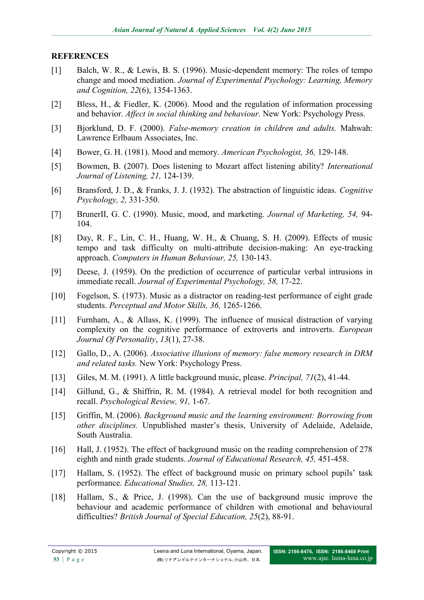### **REFERENCES**

- [1] Balch, W. R., & Lewis, B. S. (1996). Music-dependent memory: The roles of tempo change and mood mediation. *Journal of Experimental Psychology: Learning, Memory and Cognition, 22*(6), 1354-1363.
- [2] Bless, H., & Fiedler, K. (2006). Mood and the regulation of information processing and behavior. *Affect in social thinking and behaviour.* New York: Psychology Press.
- [3] Bjorklund, D. F. (2000). *False-memory creation in children and adults.* Mahwah: Lawrence Erlbaum Associates, Inc.
- [4] Bower, G. H. (1981). Mood and memory. *American Psychologist, 36,* 129-148.
- [5] Bowmen, B. (2007). Does listening to Mozart affect listening ability? *International Journal of Listening, 21,* 124-139.
- [6] Bransford, J. D., & Franks, J. J. (1932). The abstraction of linguistic ideas. *Cognitive Psychology, 2,* 331-350.
- [7] BrunerII, G. C. (1990). Music, mood, and marketing. *Journal of Marketing, 54,* 94- 104.
- [8] Day, R. F., Lin, C. H., Huang, W. H., & Chuang, S. H. (2009). Effects of music tempo and task difficulty on multi-attribute decision-making: An eye-tracking approach. *Computers in Human Behaviour, 25,* 130-143.
- [9] Deese, J. (1959). On the prediction of occurrence of particular verbal intrusions in immediate recall. *Journal of Experimental Psychology, 58,* 17-22.
- [10] Fogelson, S. (1973). Music as a distractor on reading-test performance of eight grade students. *Perceptual and Motor Skills, 36,* 1265-1266.
- [11] Furnham, A., & Allass, K. (1999). The influence of musical distraction of varying complexity on the cognitive performance of extroverts and introverts. *European Journal Of Personality*, *13*(1), 27-38.
- [12] Gallo, D., A. (2006). *Associative illusions of memory: false memory research in DRM and related tasks.* New York: Psychology Press.
- [13] Giles, M. M. (1991). A little background music, please. *Principal, 71*(2), 41-44.
- [14] Gillund, G., & Shiffrin, R. M. (1984). A retrieval model for both recognition and recall. *Psychological Review, 91,* 1-67.
- [15] Griffin, M. (2006). *Background music and the learning environment: Borrowing from other disciplines.* Unpublished master's thesis, University of Adelaide, Adelaide, South Australia.
- [16] Hall, J. (1952). The effect of background music on the reading comprehension of 278 eighth and ninth grade students. *Journal of Educational Research, 45,* 451-458.
- [17] Hallam, S. (1952). The effect of background music on primary school pupils' task performance. *Educational Studies, 28,* 113-121.
- [18] Hallam, S., & Price, J. (1998). Can the use of background music improve the behaviour and academic performance of children with emotional and behavioural difficulties? *British Journal of Special Education, 25*(2), 88-91.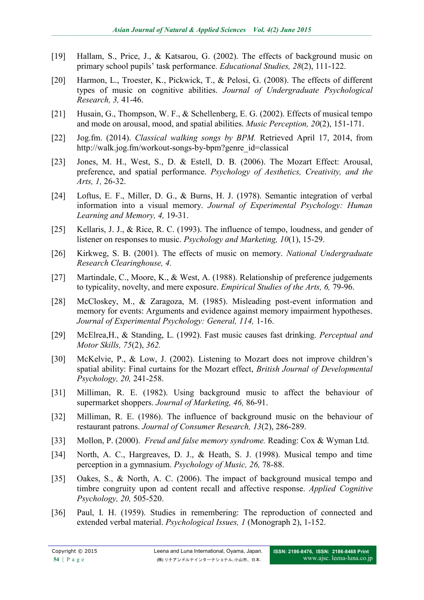- [19] Hallam, S., Price, J., & Katsarou, G. (2002). The effects of background music on primary school pupils' task performance. *Educational Studies, 28*(2), 111-122.
- [20] Harmon, L., Troester, K., Pickwick, T., & Pelosi, G. (2008). The effects of different types of music on cognitive abilities. *Journal of Undergraduate Psychological Research, 3,* 41-46.
- [21] Husain, G., Thompson, W. F., & Schellenberg, E. G. (2002). Effects of musical tempo and mode on arousal, mood, and spatial abilities. *Music Perception, 20*(2), 151-171.
- [22] Jog.fm. (2014). *Classical walking songs by BPM.* Retrieved April 17, 2014, from [http://walk.jog.fm/workout-songs-by-bpm?genre\\_id=classical](http://walk.jog.fm/workout-songs-by-bpm?genre_id=classical)
- [23] Jones, M. H., West, S., D. & Estell, D. B. (2006). The Mozart Effect: Arousal, preference, and spatial performance. *Psychology of Aesthetics, Creativity, and the Arts, 1,* 26-32.
- [24] Loftus, E. F., Miller, D. G., & Burns, H. J. (1978). Semantic integration of verbal information into a visual memory. *Journal of Experimental Psychology: Human Learning and Memory, 4,* 19-31.
- [25] Kellaris, J. J., & Rice, R. C. (1993). The influence of tempo, loudness, and gender of listener on responses to music. *Psychology and Marketing, 10*(1), 15-29.
- [26] Kirkweg, S. B. (2001). The effects of music on memory. *National Undergraduate Research Clearinghouse, 4.*
- [27] Martindale, C., Moore, K., & West, A. (1988). Relationship of preference judgements to typicality, novelty, and mere exposure. *Empirical Studies of the Arts, 6,* 79-96.
- [28] McCloskey, M., & Zaragoza, M. (1985). Misleading post-event information and memory for events: Arguments and evidence against memory impairment hypotheses. *Journal of Experimental Psychology: General, 114,* 1-16.
- [29] McElrea,H., & Standing, L. (1992). Fast music causes fast drinking. *Perceptual and Motor Skills, 75*(2), *362.*
- [30] McKelvie, P., & Low, J. (2002). Listening to Mozart does not improve children's spatial ability: Final curtains for the Mozart effect, *British Journal of Developmental Psychology, 20,* 241-258.
- [31] Milliman, R. E. (1982). Using background music to affect the behaviour of supermarket shoppers. *Journal of Marketing, 46,* 86-91.
- [32] Milliman, R. E. (1986). The influence of background music on the behaviour of restaurant patrons. *Journal of Consumer Research, 13*(2), 286-289.
- [33] Mollon, P. (2000). *Freud and false memory syndrome.* Reading: Cox & Wyman Ltd.
- [34] North, A. C., Hargreaves, D. J., & Heath, S. J. (1998). Musical tempo and time perception in a gymnasium. *Psychology of Music, 26,* 78-88.
- [35] Oakes, S., & North, A. C. (2006). The impact of background musical tempo and timbre congruity upon ad content recall and affective response. *Applied Cognitive Psychology, 20,* 505-520.
- [36] Paul, I. H. (1959). Studies in remembering: The reproduction of connected and extended verbal material. *Psychological Issues, 1* (Monograph 2), 1-152.